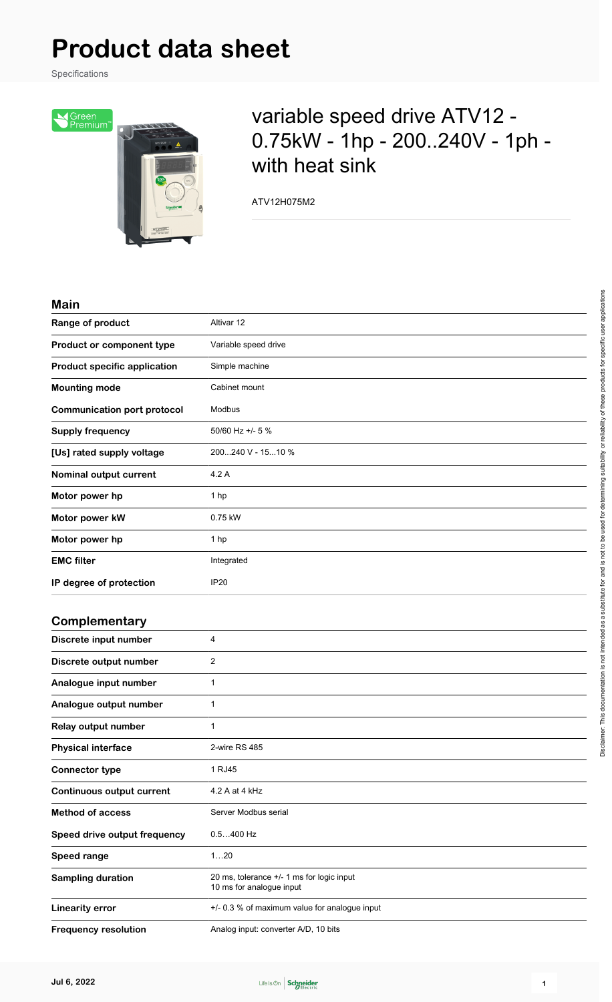Specifications



## variable speed drive ATV12 - 0.75kW - 1hp - 200..240V - 1ph with heat sink

ATV12H075M2

#### **Main**

| ,,,,,,,                             |                                                                       |
|-------------------------------------|-----------------------------------------------------------------------|
| Range of product                    | Altivar 12                                                            |
| Product or component type           | Variable speed drive                                                  |
| <b>Product specific application</b> | Simple machine                                                        |
| <b>Mounting mode</b>                | Cabinet mount                                                         |
| <b>Communication port protocol</b>  | Modbus                                                                |
| <b>Supply frequency</b>             | 50/60 Hz +/- 5 %                                                      |
| [Us] rated supply voltage           | 200240 V - 1510 %                                                     |
| Nominal output current              | 4.2 A                                                                 |
| Motor power hp                      | 1 hp                                                                  |
| Motor power kW                      | 0.75 kW                                                               |
| Motor power hp                      | 1 hp                                                                  |
| <b>EMC filter</b>                   | Integrated                                                            |
| IP degree of protection             | <b>IP20</b>                                                           |
| Complementary                       |                                                                       |
| Discrete input number               | 4                                                                     |
| Discrete output number              | 2                                                                     |
| Analogue input number               | $\mathbf{1}$                                                          |
| Analogue output number              | $\mathbf{1}$                                                          |
| Relay output number                 | $\mathbf{1}$                                                          |
| <b>Physical interface</b>           | 2-wire RS 485                                                         |
| <b>Connector type</b>               | 1 RJ45                                                                |
| <b>Continuous output current</b>    | 4.2 A at 4 kHz                                                        |
| <b>Method of access</b>             | Server Modbus serial                                                  |
| Speed drive output frequency        | $0.5400$ Hz                                                           |
| Speed range                         | 120                                                                   |
| <b>Sampling duration</b>            | 20 ms, tolerance +/- 1 ms for logic input<br>10 ms for analogue input |
| <b>Linearity error</b>              | +/- 0.3 % of maximum value for analogue input                         |
| <b>Frequency resolution</b>         | Analog input: converter A/D, 10 bits                                  |

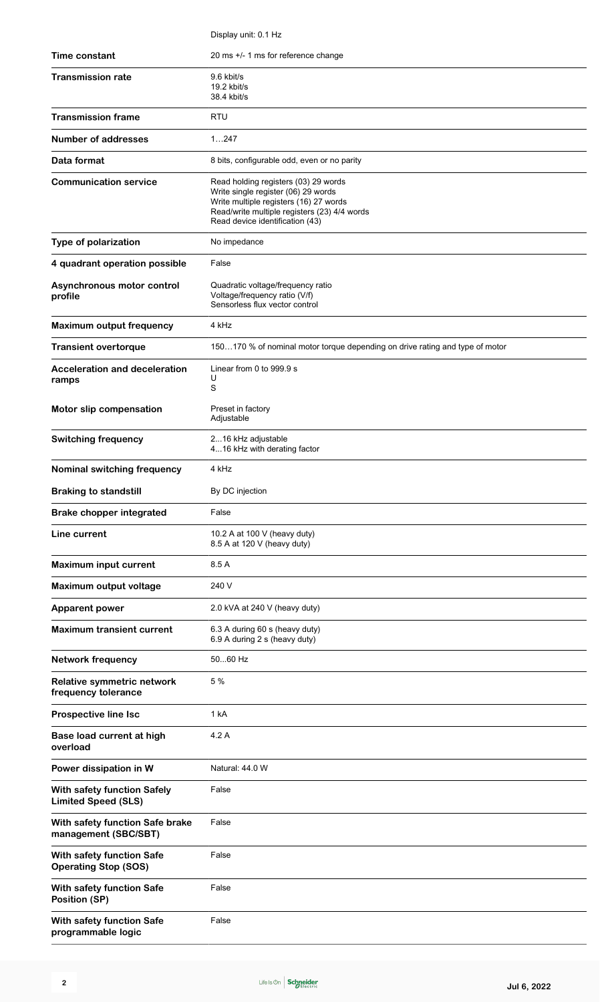|                                                           | Display unit: 0.1 Hz                                                                                                                                                                                     |
|-----------------------------------------------------------|----------------------------------------------------------------------------------------------------------------------------------------------------------------------------------------------------------|
| <b>Time constant</b>                                      | 20 ms +/- 1 ms for reference change                                                                                                                                                                      |
| <b>Transmission rate</b>                                  | 9.6 kbit/s<br>19.2 kbit/s<br>38.4 kbit/s                                                                                                                                                                 |
| <b>Transmission frame</b>                                 | <b>RTU</b>                                                                                                                                                                                               |
| Number of addresses                                       | 1247                                                                                                                                                                                                     |
| Data format                                               | 8 bits, configurable odd, even or no parity                                                                                                                                                              |
| <b>Communication service</b>                              | Read holding registers (03) 29 words<br>Write single register (06) 29 words<br>Write multiple registers (16) 27 words<br>Read/write multiple registers (23) 4/4 words<br>Read device identification (43) |
| Type of polarization                                      | No impedance                                                                                                                                                                                             |
| 4 quadrant operation possible                             | False                                                                                                                                                                                                    |
| Asynchronous motor control<br>profile                     | Quadratic voltage/frequency ratio<br>Voltage/frequency ratio (V/f)<br>Sensorless flux vector control                                                                                                     |
| <b>Maximum output frequency</b>                           | 4 kHz                                                                                                                                                                                                    |
| <b>Transient overtorque</b>                               | 150170 % of nominal motor torque depending on drive rating and type of motor                                                                                                                             |
| <b>Acceleration and deceleration</b><br>ramps             | Linear from 0 to 999.9 s<br>U<br>S                                                                                                                                                                       |
| Motor slip compensation                                   | Preset in factory<br>Adjustable                                                                                                                                                                          |
| <b>Switching frequency</b>                                | 216 kHz adjustable<br>416 kHz with derating factor                                                                                                                                                       |
| Nominal switching frequency                               | 4 kHz                                                                                                                                                                                                    |
| <b>Braking to standstill</b>                              | By DC injection                                                                                                                                                                                          |
| <b>Brake chopper integrated</b>                           | False                                                                                                                                                                                                    |
| Line current                                              | 10.2 A at 100 V (heavy duty)<br>8.5 A at 120 V (heavy duty)                                                                                                                                              |
| <b>Maximum input current</b>                              | 8.5 A                                                                                                                                                                                                    |
| Maximum output voltage                                    | 240 V                                                                                                                                                                                                    |
| <b>Apparent power</b>                                     | 2.0 kVA at 240 V (heavy duty)                                                                                                                                                                            |
| <b>Maximum transient current</b>                          | 6.3 A during 60 s (heavy duty)<br>6.9 A during 2 s (heavy duty)                                                                                                                                          |
| <b>Network frequency</b>                                  | 5060 Hz                                                                                                                                                                                                  |
| Relative symmetric network<br>frequency tolerance         | 5 %                                                                                                                                                                                                      |
| <b>Prospective line Isc</b>                               | 1 kA                                                                                                                                                                                                     |
| Base load current at high<br>overload                     | 4.2 A                                                                                                                                                                                                    |
| Power dissipation in W                                    | Natural: 44.0 W                                                                                                                                                                                          |
| With safety function Safely<br><b>Limited Speed (SLS)</b> | False                                                                                                                                                                                                    |
| With safety function Safe brake<br>management (SBC/SBT)   | False                                                                                                                                                                                                    |
| With safety function Safe<br><b>Operating Stop (SOS)</b>  | False                                                                                                                                                                                                    |
| With safety function Safe<br>Position (SP)                | False                                                                                                                                                                                                    |
| With safety function Safe<br>programmable logic           | False                                                                                                                                                                                                    |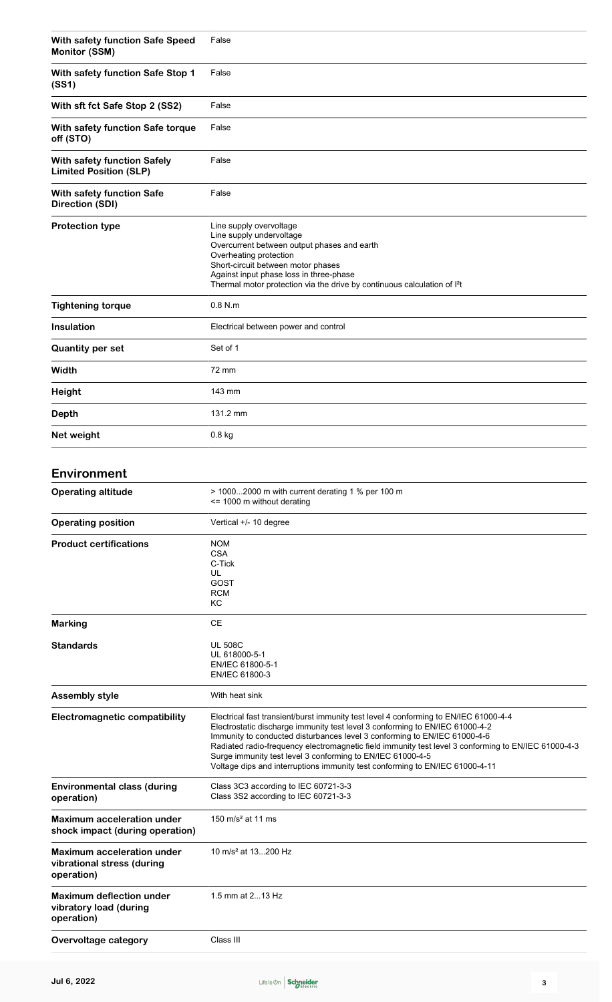| With safety function Safe Speed<br>Monitor (SSM)             | False                                                                                                                                                                                                                                                                                                 |
|--------------------------------------------------------------|-------------------------------------------------------------------------------------------------------------------------------------------------------------------------------------------------------------------------------------------------------------------------------------------------------|
| With safety function Safe Stop 1<br>(SS1)                    | False                                                                                                                                                                                                                                                                                                 |
| With sft fct Safe Stop 2 (SS2)                               | False                                                                                                                                                                                                                                                                                                 |
| With safety function Safe torque<br>off (STO)                | False                                                                                                                                                                                                                                                                                                 |
| With safety function Safely<br><b>Limited Position (SLP)</b> | False                                                                                                                                                                                                                                                                                                 |
| With safety function Safe<br>Direction (SDI)                 | False                                                                                                                                                                                                                                                                                                 |
| <b>Protection type</b>                                       | Line supply overvoltage<br>Line supply undervoltage<br>Overcurrent between output phases and earth<br>Overheating protection<br>Short-circuit between motor phases<br>Against input phase loss in three-phase<br>Thermal motor protection via the drive by continuous calculation of I <sup>2</sup> t |
| <b>Tightening torque</b>                                     | $0.8$ N.m                                                                                                                                                                                                                                                                                             |
| <b>Insulation</b>                                            | Electrical between power and control                                                                                                                                                                                                                                                                  |
| <b>Quantity per set</b>                                      | Set of 1                                                                                                                                                                                                                                                                                              |
| Width                                                        | 72 mm                                                                                                                                                                                                                                                                                                 |
| <b>Height</b>                                                | 143 mm                                                                                                                                                                                                                                                                                                |
| <b>Depth</b>                                                 | 131.2 mm                                                                                                                                                                                                                                                                                              |
| Net weight                                                   | $0.8$ kg                                                                                                                                                                                                                                                                                              |
| <b>Environment</b>                                           |                                                                                                                                                                                                                                                                                                       |
| <b>Operating altitude</b>                                    | > 10002000 m with current derating 1 % per 100 m<br><= 1000 m without derating                                                                                                                                                                                                                        |
| <b>Operating position</b>                                    | Vertical +/- 10 degree                                                                                                                                                                                                                                                                                |

| ים כי יישו                           |                                                                                                                                                                      |
|--------------------------------------|----------------------------------------------------------------------------------------------------------------------------------------------------------------------|
| <b>Product certifications</b>        | <b>NOM</b>                                                                                                                                                           |
|                                      | <b>CSA</b>                                                                                                                                                           |
|                                      | C-Tick                                                                                                                                                               |
|                                      | UL                                                                                                                                                                   |
|                                      | GOST                                                                                                                                                                 |
|                                      | <b>RCM</b>                                                                                                                                                           |
|                                      | КC                                                                                                                                                                   |
| <b>Marking</b>                       | <b>CE</b>                                                                                                                                                            |
| <b>Standards</b>                     | <b>UL 508C</b>                                                                                                                                                       |
|                                      | UL 618000-5-1                                                                                                                                                        |
|                                      | EN/IEC 61800-5-1                                                                                                                                                     |
|                                      | EN/IEC 61800-3                                                                                                                                                       |
| <b>Assembly style</b>                | With heat sink                                                                                                                                                       |
| <b>Electromagnetic compatibility</b> | Electrical fast transient/burst immunity test level 4 conforming to EN/IEC 61000-4-4<br>Electrostatic discharge immunity test level 3 conforming to EN/IEC 61000-4-2 |
|                                      | Immunity to conducted disturbances level 3 conforming to EN/IEC 61000-4-6                                                                                            |
|                                      | Radiated radio-frequency electromagnetic field immunity test level 3 conforming to EN/IEC 61000-4-3                                                                  |
|                                      | Surge immunity test level 3 conforming to EN/IEC 61000-4-5                                                                                                           |
|                                      | Voltage dips and interruptions immunity test conforming to EN/IEC 61000-4-11                                                                                         |
| <b>Environmental class (during</b>   | Class 3C3 according to IEC 60721-3-3                                                                                                                                 |
| operation)                           | Class 3S2 according to IEC 60721-3-3                                                                                                                                 |
| <b>Maximum acceleration under</b>    | 150 m/s <sup>2</sup> at 11 ms                                                                                                                                        |
| shock impact (during operation)      |                                                                                                                                                                      |
| <b>Maximum acceleration under</b>    | 10 m/s <sup>2</sup> at 13200 Hz                                                                                                                                      |
| vibrational stress (during           |                                                                                                                                                                      |
|                                      |                                                                                                                                                                      |
| operation)                           |                                                                                                                                                                      |
| <b>Maximum deflection under</b>      | 1.5 mm at 213 Hz                                                                                                                                                     |
| vibratory load (during               |                                                                                                                                                                      |
| operation)                           |                                                                                                                                                                      |
| Overvoltage category                 | Class III                                                                                                                                                            |
|                                      |                                                                                                                                                                      |

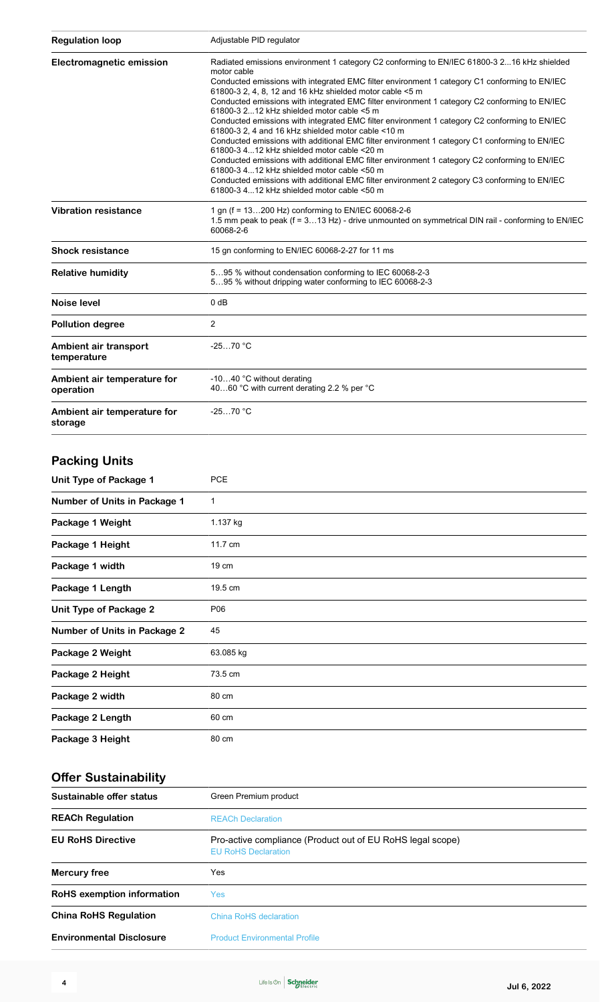| <b>Regulation loop</b>                   | Adjustable PID regulator                                                                                                                                             |  |
|------------------------------------------|----------------------------------------------------------------------------------------------------------------------------------------------------------------------|--|
| <b>Electromagnetic emission</b>          | Radiated emissions environment 1 category C2 conforming to EN/IEC 61800-3 216 kHz shielded<br>motor cable                                                            |  |
|                                          | Conducted emissions with integrated EMC filter environment 1 category C1 conforming to EN/IEC<br>61800-3 2, 4, 8, 12 and 16 kHz shielded motor cable <5 m            |  |
|                                          | Conducted emissions with integrated EMC filter environment 1 category C2 conforming to EN/IEC<br>61800-3 212 kHz shielded motor cable $\leq$ 5 m                     |  |
|                                          | Conducted emissions with integrated EMC filter environment 1 category C2 conforming to EN/IEC<br>61800-3 2, 4 and 16 kHz shielded motor cable <10 m                  |  |
|                                          | Conducted emissions with additional EMC filter environment 1 category C1 conforming to EN/IEC<br>61800-3 412 kHz shielded motor cable <20 m                          |  |
|                                          | Conducted emissions with additional EMC filter environment 1 category C2 conforming to EN/IEC<br>61800-3 412 kHz shielded motor cable <50 m                          |  |
|                                          | Conducted emissions with additional EMC filter environment 2 category C3 conforming to EN/IEC<br>61800-3 412 kHz shielded motor cable <50 m                          |  |
| <b>Vibration resistance</b>              | 1 gn (f = 13200 Hz) conforming to EN/IEC 60068-2-6<br>1.5 mm peak to peak (f = 313 Hz) - drive unmounted on symmetrical DIN rail - conforming to EN/IEC<br>60068-2-6 |  |
| <b>Shock resistance</b>                  | 15 gn conforming to EN/IEC 60068-2-27 for 11 ms                                                                                                                      |  |
| <b>Relative humidity</b>                 | 595 % without condensation conforming to IEC 60068-2-3<br>595 % without dripping water conforming to IEC 60068-2-3                                                   |  |
| Noise level                              | $0$ dB                                                                                                                                                               |  |
| <b>Pollution degree</b>                  | 2                                                                                                                                                                    |  |
| Ambient air transport<br>temperature     | $-2570 °C$                                                                                                                                                           |  |
| Ambient air temperature for<br>operation | -1040 °C without derating<br>4060 °C with current derating 2.2 % per °C                                                                                              |  |
| Ambient air temperature for<br>storage   | $-2570 °C$                                                                                                                                                           |  |

### **Packing Units**

| Unit Type of Package 1              | <b>PCE</b>   |
|-------------------------------------|--------------|
| <b>Number of Units in Package 1</b> | $\mathbf{1}$ |
| Package 1 Weight                    | 1.137 kg     |
| Package 1 Height                    | 11.7 cm      |
| Package 1 width                     | 19 cm        |
| Package 1 Length                    | 19.5 cm      |
| <b>Unit Type of Package 2</b>       | P06          |
| <b>Number of Units in Package 2</b> | 45           |
| Package 2 Weight                    | 63.085 kg    |
| Package 2 Height                    | 73.5 cm      |
| Package 2 width                     | 80 cm        |
| Package 2 Length                    | 60 cm        |
| Package 3 Height                    | 80 cm        |

### **Offer Sustainability**

| Sustainable offer status          | Green Premium product                                                                    |
|-----------------------------------|------------------------------------------------------------------------------------------|
| <b>REACh Regulation</b>           | <b>REACh Declaration</b>                                                                 |
| <b>EU RoHS Directive</b>          | Pro-active compliance (Product out of EU RoHS legal scope)<br><b>EU RoHS Declaration</b> |
| Mercury free                      | Yes                                                                                      |
| <b>RoHS</b> exemption information | Yes:                                                                                     |
| <b>China RoHS Regulation</b>      | China RoHS declaration                                                                   |
| <b>Environmental Disclosure</b>   | <b>Product Environmental Profile</b>                                                     |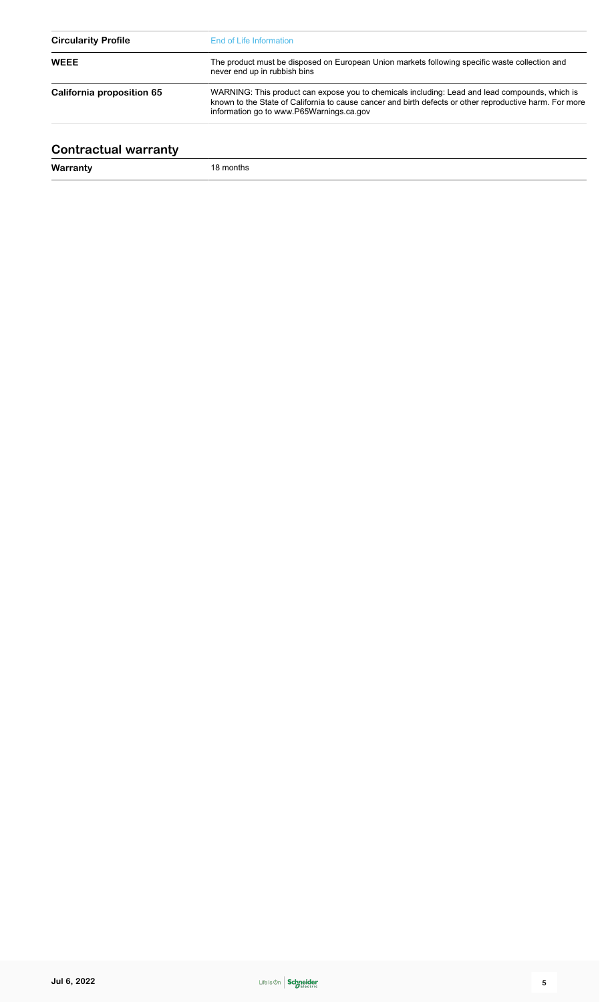| <b>Circularity Profile</b> | End of Life Information<br>The product must be disposed on European Union markets following specific waste collection and<br>never end up in rubbish bins                                                                                             |  |
|----------------------------|-------------------------------------------------------------------------------------------------------------------------------------------------------------------------------------------------------------------------------------------------------|--|
| <b>WEEE</b>                |                                                                                                                                                                                                                                                       |  |
| California proposition 65  | WARNING: This product can expose you to chemicals including: Lead and lead compounds, which is<br>known to the State of California to cause cancer and birth defects or other reproductive harm. For more<br>information go to www.P65Warnings.ca.gov |  |

### **Contractual warranty**

**Warranty** 18 months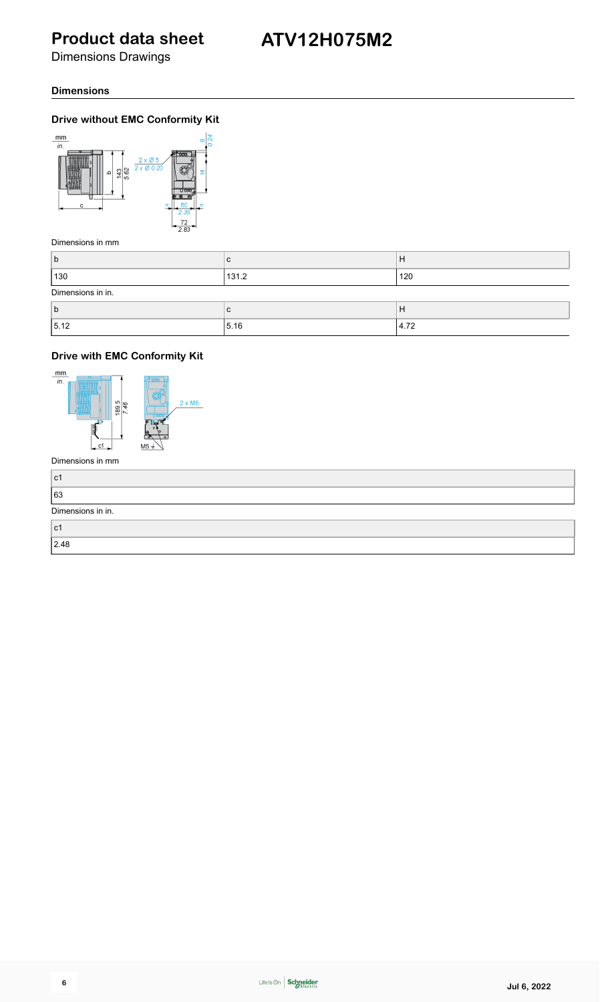Dimensions Drawings

#### **Dimensions**

#### **Drive without EMC Conformity Kit**



Dimensions in mm

| b                 | C     | H    |
|-------------------|-------|------|
| 130               | 131.2 | 120  |
| Dimensions in in. |       |      |
| b                 | C     | H    |
| 15.12             | 5.16  | 4.72 |

### **Drive with EMC Conformity Kit**



| ∣c1               |  |
|-------------------|--|
| 63                |  |
| Dimensions in in. |  |
| ∣c1               |  |
| 2.48              |  |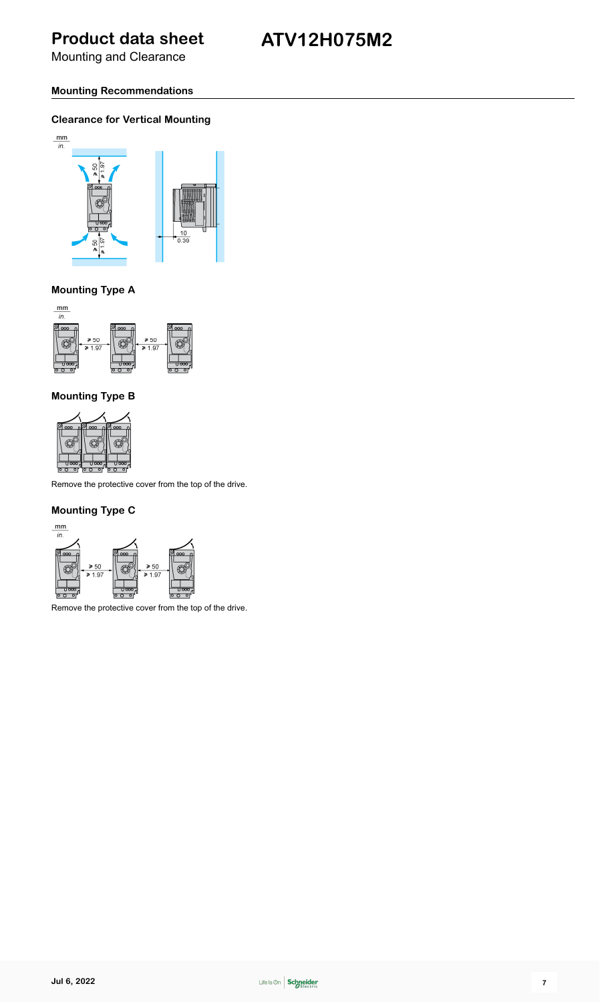Mounting and Clearance

### **ATV12H075M2**

#### **Mounting Recommendations**

#### **Clearance for Vertical Mounting**



#### **Mounting Type A**



#### **Mounting Type B**



Remove the protective cover from the top of the drive.

#### **Mounting Type C**



Remove the protective cover from the top of the drive.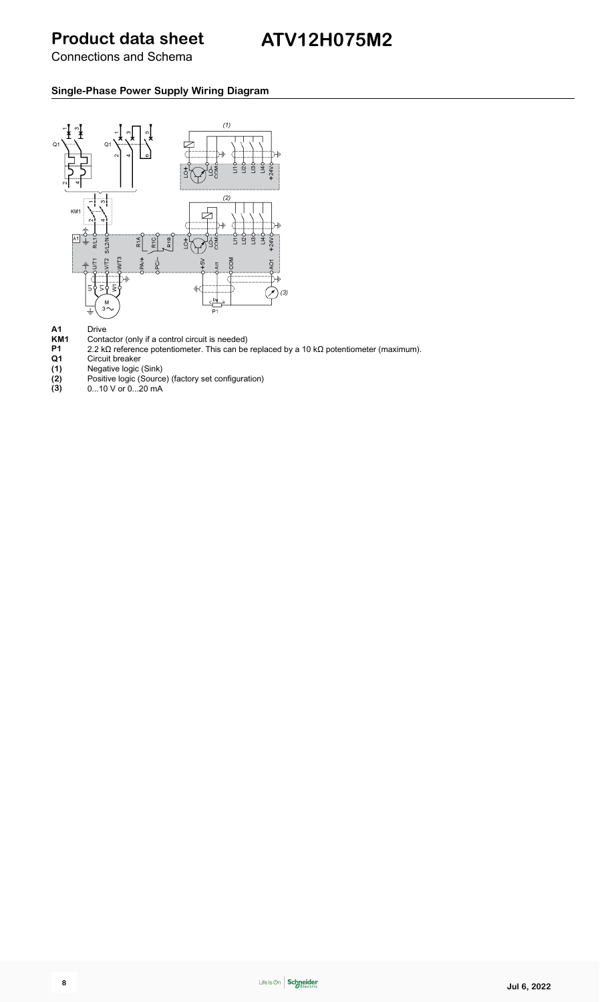Connections and Schema

#### **Single-Phase Power Supply Wiring Diagram**



- **KM1** Contactor (only if a control circuit is needed)
- **P1** 2.2 kΩ reference potentiometer. This can be replaced by a 10 kΩ potentiometer (maximum).
- **A1** Drive<br> **KM1** Conta<br> **P1** 2.2 kg<br> **Q1** Circu<br> **(1)** Nega<br> **(2)** Positi<br> **(3)** 0...10 **Q1** Circuit breaker
- **(1)** Negative logic (Sink)
- **(2)** Positive logic (Source) (factory set configuration)
- **(3)** 0...10 V or 0...20 mA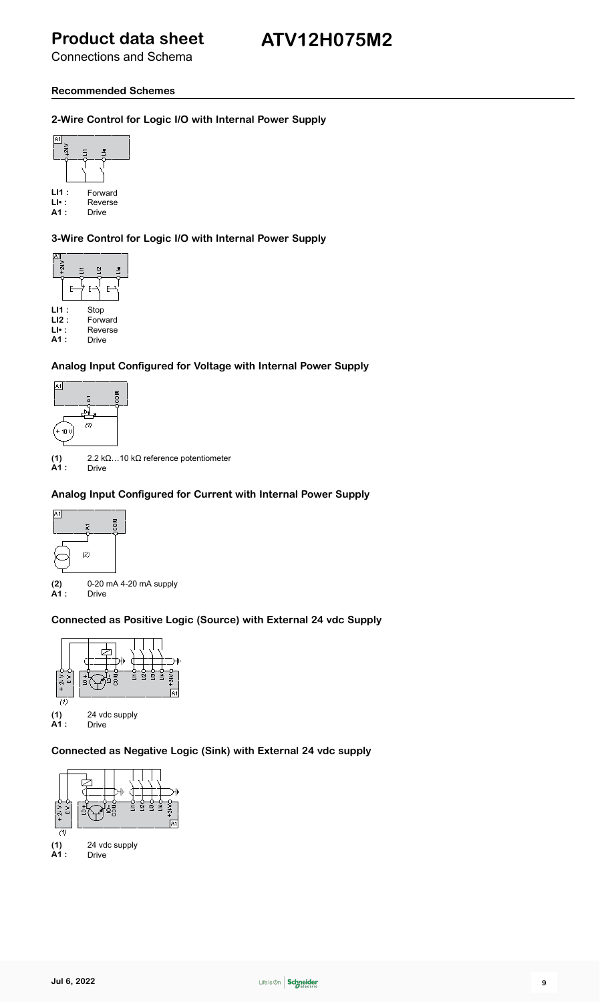Connections and Schema

### **Recommended Schemes**

#### **2-Wire Control for Logic I/O with Internal Power Supply**



LI1 : Forward<br>LI• : Reverse<br>A1 : Drive **LI• :** Reverse

Drive

**3-Wire Control for Logic I/O with Internal Power Supply**



**Analog Input Configured for Voltage with Internal Power Supply**



**(1)** 2.2 kΩ…10 kΩ reference potentiometer Drive

### **Analog Input Configured for Current with Internal Power Supply**



**(2)** 0-20 mA 4-20 mA supply Drive

#### **Connected as Positive Logic (Source) with External 24 vdc Supply**



#### **Connected as Negative Logic (Sink) with External 24 vdc supply**